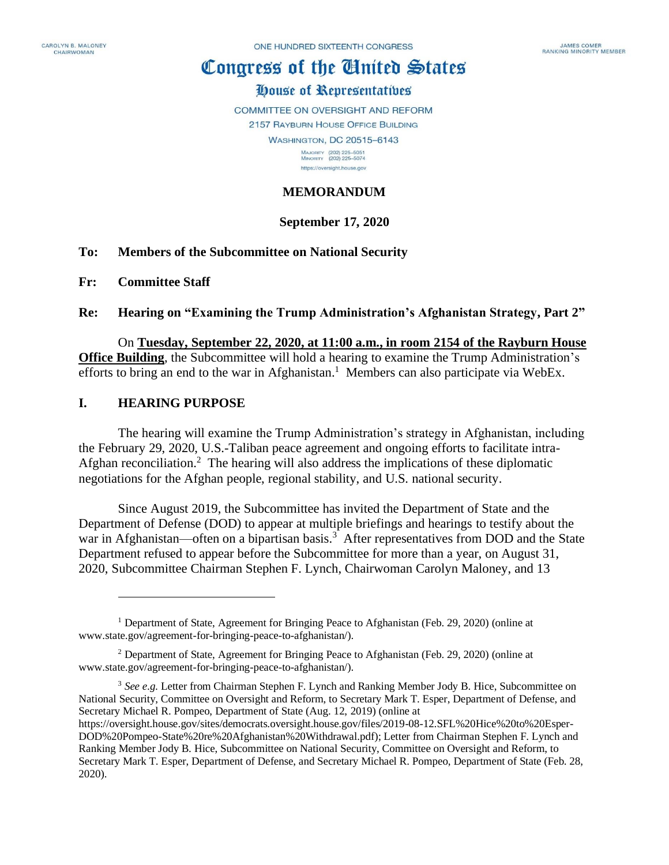# Congress of the Ginited States

## House of Representatives

COMMITTEE ON OVERSIGHT AND REFORM

2157 RAYBURN HOUSE OFFICE BUILDING **WASHINGTON, DC 20515-6143** 

> MAJORITY (202) 225-5051<br>MINORITY (202) 225-5074 https://oversight.house.gov

## **MEMORANDUM**

## **September 17, 2020**

#### **To: Members of the Subcommittee on National Security**

**Fr: Committee Staff**

#### **Re: Hearing on "Examining the Trump Administration's Afghanistan Strategy, Part 2"**

#### On **Tuesday, September 22, 2020, at 11:00 a.m., in room 2154 of the Rayburn House Office Building**, the Subcommittee will hold a hearing to examine the Trump Administration's

efforts to bring an end to the war in Afghanistan.<sup>1</sup> Members can also participate via WebEx.

## **I. HEARING PURPOSE**

The hearing will examine the Trump Administration's strategy in Afghanistan, including the February 29, 2020, U.S.-Taliban peace agreement and ongoing efforts to facilitate intra-Afghan reconciliation.<sup>2</sup> The hearing will also address the implications of these diplomatic negotiations for the Afghan people, regional stability, and U.S. national security.

Since August 2019, the Subcommittee has invited the Department of State and the Department of Defense (DOD) to appear at multiple briefings and hearings to testify about the war in Afghanistan—often on a bipartisan basis.<sup>3</sup> After representatives from DOD and the State Department refused to appear before the Subcommittee for more than a year, on August 31, 2020, Subcommittee Chairman Stephen F. Lynch, Chairwoman Carolyn Maloney, and 13

<sup>3</sup> *See e.g.* Letter from Chairman Stephen F. Lynch and Ranking Member Jody B. Hice, Subcommittee on National Security, Committee on Oversight and Reform, to Secretary Mark T. Esper, Department of Defense, and Secretary Michael R. Pompeo, Department of State (Aug. 12, 2019) (online at

<sup>1</sup> Department of State, Agreement for Bringing Peace to Afghanistan (Feb. 29, 2020) (online at www.state.gov/agreement-for-bringing-peace-to-afghanistan/).

<sup>2</sup> Department of State, Agreement for Bringing Peace to Afghanistan (Feb. 29, 2020) (online at www.state.gov/agreement-for-bringing-peace-to-afghanistan/).

https://oversight.house.gov/sites/democrats.oversight.house.gov/files/2019-08-12.SFL%20Hice%20to%20Esper-DOD%20Pompeo-State%20re%20Afghanistan%20Withdrawal.pdf); Letter from Chairman Stephen F. Lynch and Ranking Member Jody B. Hice, Subcommittee on National Security, Committee on Oversight and Reform, to Secretary Mark T. Esper, Department of Defense, and Secretary Michael R. Pompeo, Department of State (Feb. 28, 2020).